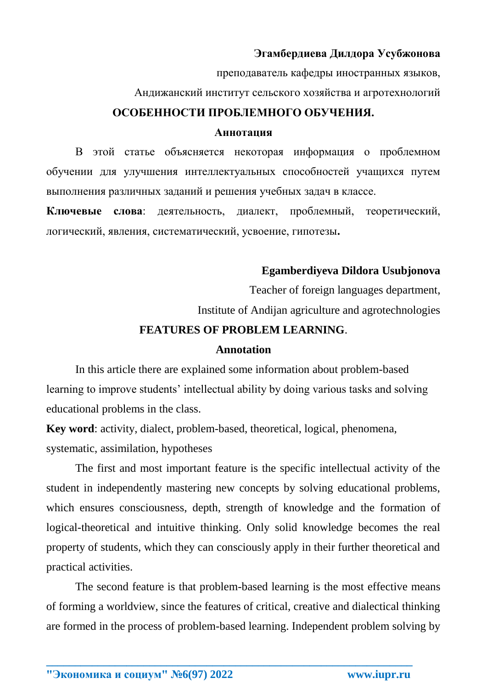### **Эгамбердиева Дилдора Усубжонова**

преподаватель кафедры иностранных языков,

Андижанский институт сельского хозяйства и агротехнологий

### **ОСОБЕННОСТИ ПРОБЛЕМНОГО ОБУЧЕНИЯ.**

#### **Аннотация**

В этой статье объясняется некоторая информация о проблемном обучении для улучшения интеллектуальных способностей учащихся путем выполнения различных заданий и решения учебных задач в классе.

**Ключевые слова**: деятельность, диалект, проблемный, теоретический, логический, явления, систематический, усвоение, гипотезы**.**

# **Egamberdiyeva Dildora Usubjonova**

Teacher of foreign languages department, Institute of Andijan agriculture and agrotechnologies

# **FEATURES OF PROBLEM LEARNING**.

#### **Annotation**

In this article there are explained some information about problem-based learning to improve students' intellectual ability by doing various tasks and solving educational problems in the class.

**Key word**: activity, dialect, problem-based, theoretical, logical, phenomena, systematic, assimilation, hypotheses

The first and most important feature is the specific intellectual activity of the student in independently mastering new concepts by solving educational problems, which ensures consciousness, depth, strength of knowledge and the formation of logical-theoretical and intuitive thinking. Only solid knowledge becomes the real property of students, which they can consciously apply in their further theoretical and practical activities.

The second feature is that problem-based learning is the most effective means of forming a worldview, since the features of critical, creative and dialectical thinking are formed in the process of problem-based learning. Independent problem solving by

**\_\_\_\_\_\_\_\_\_\_\_\_\_\_\_\_\_\_\_\_\_\_\_\_\_\_\_\_\_\_\_\_\_\_\_\_\_\_\_\_\_\_\_\_\_\_\_\_\_\_\_\_\_\_\_\_\_\_\_\_\_\_\_\_**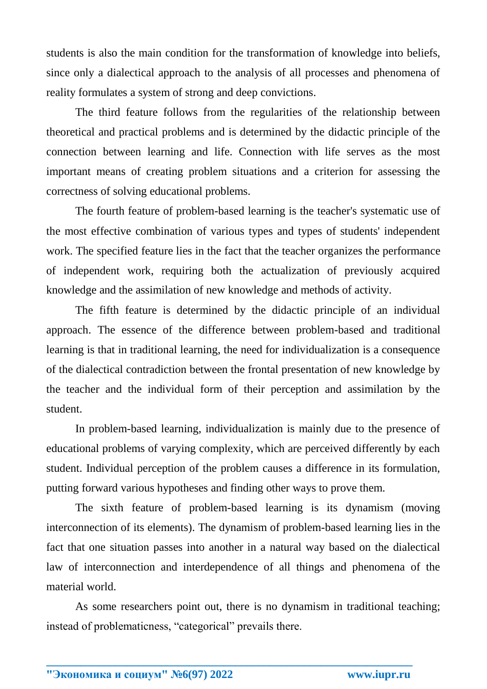students is also the main condition for the transformation of knowledge into beliefs, since only a dialectical approach to the analysis of all processes and phenomena of reality formulates a system of strong and deep convictions.

The third feature follows from the regularities of the relationship between theoretical and practical problems and is determined by the didactic principle of the connection between learning and life. Connection with life serves as the most important means of creating problem situations and a criterion for assessing the correctness of solving educational problems.

The fourth feature of problem-based learning is the teacher's systematic use of the most effective combination of various types and types of students' independent work. The specified feature lies in the fact that the teacher organizes the performance of independent work, requiring both the actualization of previously acquired knowledge and the assimilation of new knowledge and methods of activity.

The fifth feature is determined by the didactic principle of an individual approach. The essence of the difference between problem-based and traditional learning is that in traditional learning, the need for individualization is a consequence of the dialectical contradiction between the frontal presentation of new knowledge by the teacher and the individual form of their perception and assimilation by the student.

In problem-based learning, individualization is mainly due to the presence of educational problems of varying complexity, which are perceived differently by each student. Individual perception of the problem causes a difference in its formulation, putting forward various hypotheses and finding other ways to prove them.

The sixth feature of problem-based learning is its dynamism (moving interconnection of its elements). The dynamism of problem-based learning lies in the fact that one situation passes into another in a natural way based on the dialectical law of interconnection and interdependence of all things and phenomena of the material world.

As some researchers point out, there is no dynamism in traditional teaching; instead of problematicness, "categorical" prevails there.

**\_\_\_\_\_\_\_\_\_\_\_\_\_\_\_\_\_\_\_\_\_\_\_\_\_\_\_\_\_\_\_\_\_\_\_\_\_\_\_\_\_\_\_\_\_\_\_\_\_\_\_\_\_\_\_\_\_\_\_\_\_\_\_\_**